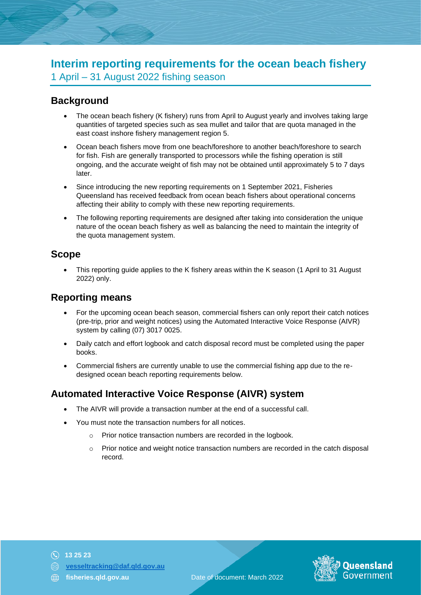# **Interim reporting requirements for the ocean beach fishery** 1 April – 31 August 2022 fishing season

## **Background**

- The ocean beach fishery (K fishery) runs from April to August yearly and involves taking large quantities of targeted species such as sea mullet and tailor that are quota managed in the east coast inshore fishery management region 5.
- Ocean beach fishers move from one beach/foreshore to another beach/foreshore to search for fish. Fish are generally transported to processors while the fishing operation is still ongoing, and the accurate weight of fish may not be obtained until approximately 5 to 7 days later.
- Since introducing the new reporting requirements on 1 September 2021, Fisheries Queensland has received feedback from ocean beach fishers about operational concerns affecting their ability to comply with these new reporting requirements.
- The following reporting requirements are designed after taking into consideration the unique nature of the ocean beach fishery as well as balancing the need to maintain the integrity of the quota management system.

### **Scope**

• This reporting guide applies to the K fishery areas within the K season (1 April to 31 August 2022) only.

### **Reporting means**

- For the upcoming ocean beach season, commercial fishers can only report their catch notices (pre-trip, prior and weight notices) using the Automated Interactive Voice Response (AIVR) system by calling (07) 3017 0025.
- Daily catch and effort logbook and catch disposal record must be completed using the paper books.
- Commercial fishers are currently unable to use the commercial fishing app due to the redesigned ocean beach reporting requirements below.

## **Automated Interactive Voice Response (AIVR) system**

- The AIVR will provide a transaction number at the end of a successful call.
- You must note the transaction numbers for all notices.
	- o Prior notice transaction numbers are recorded in the logbook.
	- $\circ$  Prior notice and weight notice transaction numbers are recorded in the catch disposal record.

- **13 25 23**
- **[vesseltracking@daf.qld.gov.au](mailto:vesseltracking@daf.qld.gov.au)**
- 

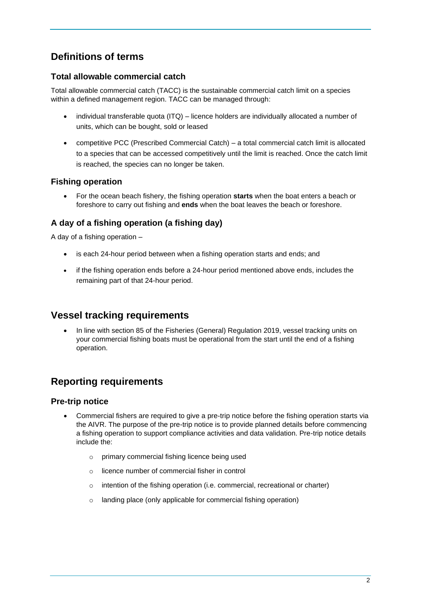# **Definitions of terms**

### **Total allowable commercial catch**

Total allowable commercial catch (TACC) is the sustainable commercial catch limit on a species within a defined management region. TACC can be managed through:

- individual transferable quota (ITQ) licence holders are individually allocated a number of units, which can be bought, sold or leased
- competitive PCC (Prescribed Commercial Catch) a total commercial catch limit is allocated to a species that can be accessed competitively until the limit is reached. Once the catch limit is reached, the species can no longer be taken.

### **Fishing operation**

• For the ocean beach fishery, the fishing operation **starts** when the boat enters a beach or foreshore to carry out fishing and **ends** when the boat leaves the beach or foreshore.

### **A day of a fishing operation (a fishing day)**

A day of a fishing operation –

- is each 24-hour period between when a fishing operation starts and ends; and
- if the fishing operation ends before a 24-hour period mentioned above ends, includes the remaining part of that 24-hour period.

### **Vessel tracking requirements**

• In line with section 85 of the Fisheries (General) Regulation 2019, vessel tracking units on your commercial fishing boats must be operational from the start until the end of a fishing operation.

## **Reporting requirements**

### **Pre-trip notice**

- Commercial fishers are required to give a pre-trip notice before the fishing operation starts via the AIVR. The purpose of the pre-trip notice is to provide planned details before commencing a fishing operation to support compliance activities and data validation. Pre-trip notice details include the:
	- o primary commercial fishing licence being used
	- o licence number of commercial fisher in control
	- o intention of the fishing operation (i.e. commercial, recreational or charter)
	- o landing place (only applicable for commercial fishing operation)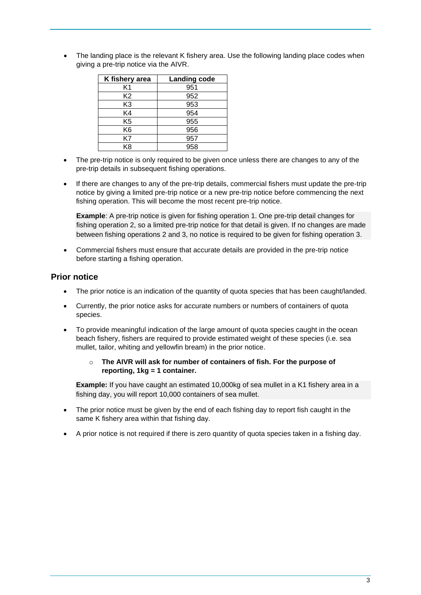The landing place is the relevant K fishery area. Use the following landing place codes when giving a pre-trip notice via the AIVR.

| K fishery area | <b>Landing code</b> |
|----------------|---------------------|
| K1             | 951                 |
| K2             | 952                 |
| K <sub>3</sub> | 953                 |
| K4             | 954                 |
| K5             | 955                 |
| K6             | 956                 |
| K7             | 957                 |
| K8             | 958                 |

- The pre-trip notice is only required to be given once unless there are changes to any of the pre-trip details in subsequent fishing operations.
- If there are changes to any of the pre-trip details, commercial fishers must update the pre-trip notice by giving a limited pre-trip notice or a new pre-trip notice before commencing the next fishing operation. This will become the most recent pre-trip notice.

**Example:** A pre-trip notice is given for fishing operation 1. One pre-trip detail changes for fishing operation 2, so a limited pre-trip notice for that detail is given. If no changes are made between fishing operations 2 and 3, no notice is required to be given for fishing operation 3.

• Commercial fishers must ensure that accurate details are provided in the pre-trip notice before starting a fishing operation.

#### **Prior notice**

- The prior notice is an indication of the quantity of quota species that has been caught/landed.
- Currently, the prior notice asks for accurate numbers or numbers of containers of quota species.
- To provide meaningful indication of the large amount of quota species caught in the ocean beach fishery, fishers are required to provide estimated weight of these species (i.e. sea mullet, tailor, whiting and yellowfin bream) in the prior notice.
	- o **The AIVR will ask for number of containers of fish. For the purpose of reporting, 1kg = 1 container.**

**Example:** If you have caught an estimated 10,000kg of sea mullet in a K1 fishery area in a fishing day, you will report 10,000 containers of sea mullet.

- The prior notice must be given by the end of each fishing day to report fish caught in the same K fishery area within that fishing day.
- A prior notice is not required if there is zero quantity of quota species taken in a fishing day.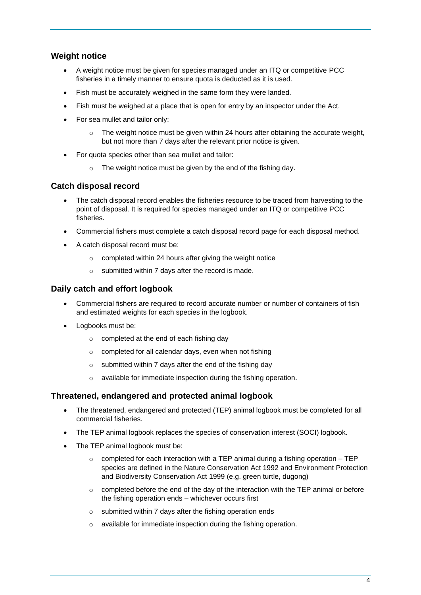### **Weight notice**

- A weight notice must be given for species managed under an ITQ or competitive PCC fisheries in a timely manner to ensure quota is deducted as it is used.
- Fish must be accurately weighed in the same form they were landed.
- Fish must be weighed at a place that is open for entry by an inspector under the Act.
- For sea mullet and tailor only:
	- $\circ$  The weight notice must be given within 24 hours after obtaining the accurate weight, but not more than 7 days after the relevant prior notice is given.
- For quota species other than sea mullet and tailor:
	- $\circ$  The weight notice must be given by the end of the fishing day.

#### **Catch disposal record**

- The catch disposal record enables the fisheries resource to be traced from harvesting to the point of disposal. It is required for species managed under an ITQ or competitive PCC fisheries.
- Commercial fishers must complete a catch disposal record page for each disposal method.
- A catch disposal record must be:
	- o completed within 24 hours after giving the weight notice
	- o submitted within 7 days after the record is made.

#### **Daily catch and effort logbook**

- Commercial fishers are required to record accurate number or number of containers of fish and estimated weights for each species in the logbook.
- Logbooks must be:
	- o completed at the end of each fishing day
	- o completed for all calendar days, even when not fishing
	- $\circ$  submitted within 7 days after the end of the fishing day
	- o available for immediate inspection during the fishing operation.

### **Threatened, endangered and protected animal logbook**

- The threatened, endangered and protected (TEP) animal logbook must be completed for all commercial fisheries.
- The TEP animal logbook replaces the species of conservation interest (SOCI) logbook.
- The TEP animal logbook must be:
	- $\circ$  completed for each interaction with a TEP animal during a fishing operation TEP species are defined in the Nature Conservation Act 1992 and Environment Protection and Biodiversity Conservation Act 1999 (e.g. green turtle, dugong)
	- $\circ$  completed before the end of the day of the interaction with the TEP animal or before the fishing operation ends – whichever occurs first
	- o submitted within 7 days after the fishing operation ends
	- o available for immediate inspection during the fishing operation.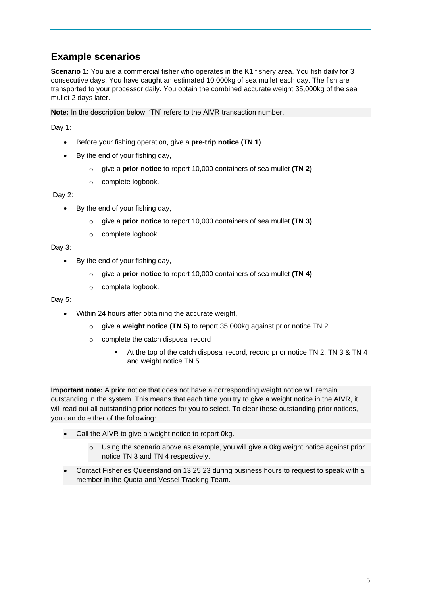## **Example scenarios**

**Scenario 1:** You are a commercial fisher who operates in the K1 fishery area. You fish daily for 3 consecutive days. You have caught an estimated 10,000kg of sea mullet each day. The fish are transported to your processor daily. You obtain the combined accurate weight 35,000kg of the sea mullet 2 days later.

**Note:** In the description below, 'TN' refers to the AIVR transaction number.

Day 1:

- Before your fishing operation, give a **pre-trip notice (TN 1)**
- By the end of your fishing day,
	- o give a **prior notice** to report 10,000 containers of sea mullet **(TN 2)**
	- o complete logbook.

Day 2:

- By the end of your fishing day,
	- o give a **prior notice** to report 10,000 containers of sea mullet **(TN 3)**
	- o complete logbook.

Day 3:

- By the end of your fishing day,
	- o give a **prior notice** to report 10,000 containers of sea mullet **(TN 4)**
	- o complete logbook.

Day 5:

- Within 24 hours after obtaining the accurate weight,
	- o give a **weight notice (TN 5)** to report 35,000kg against prior notice TN 2
	- o complete the catch disposal record
		- At the top of the catch disposal record, record prior notice TN 2, TN 3 & TN 4 and weight notice TN 5.

**Important note:** A prior notice that does not have a corresponding weight notice will remain outstanding in the system. This means that each time you try to give a weight notice in the AIVR, it will read out all outstanding prior notices for you to select. To clear these outstanding prior notices, you can do either of the following:

- Call the AIVR to give a weight notice to report 0kg.
	- o Using the scenario above as example, you will give a 0kg weight notice against prior notice TN 3 and TN 4 respectively.
- Contact Fisheries Queensland on 13 25 23 during business hours to request to speak with a member in the Quota and Vessel Tracking Team.